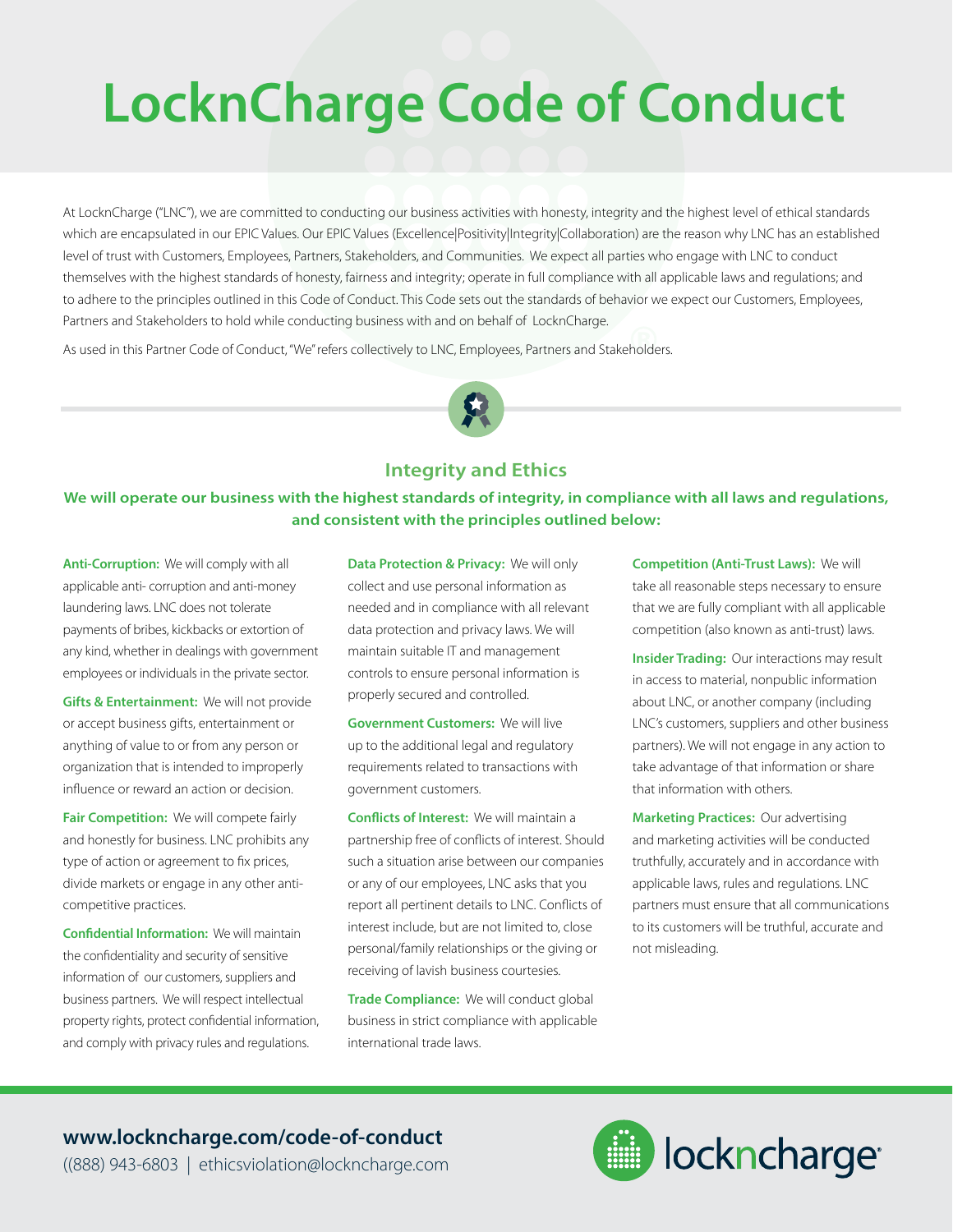# **LocknCharge Code of Conduct**

At LocknCharge ("LNC"), we are committed to conducting our business activities with honesty, integrity and the highest level of ethical standards which are encapsulated in our EPIC Values. Our EPIC Values (Excellence|Positivity|Integrity|Collaboration) are the reason why LNC has an established level of trust with Customers, Employees, Partners, Stakeholders, and Communities. We expect all parties who engage with LNC to conduct themselves with the highest standards of honesty, fairness and integrity; operate in full compliance with all applicable laws and regulations; and to adhere to the principles outlined in this Code of Conduct. This Code sets out the standards of behavior we expect our Customers, Employees, Partners and Stakeholders to hold while conducting business with and on behalf of LocknCharge.

As used in this Partner Code of Conduct, "We" refers collectively to LNC, Employees, Partners and Stakeholders.

#### **Integrity and Ethics**

**We will operate our business with the highest standards of integrity, in compliance with all laws and regulations, and consistent with the principles outlined below:**

**Anti-Corruption:** We will comply with all applicable anti- corruption and anti-money laundering laws. LNC does not tolerate payments of bribes, kickbacks or extortion of any kind, whether in dealings with government employees or individuals in the private sector.

**Gifts & Entertainment:** We will not provide or accept business gifts, entertainment or anything of value to or from any person or organization that is intended to improperly influence or reward an action or decision.

**Fair Competition:** We will compete fairly and honestly for business. LNC prohibits any type of action or agreement to fix prices, divide markets or engage in any other anticompetitive practices.

**Confidential Information:** We will maintain the confidentiality and security of sensitive information of our customers, suppliers and business partners. We will respect intellectual property rights, protect confidential information, and comply with privacy rules and regulations.

**Data Protection & Privacy:** We will only collect and use personal information as needed and in compliance with all relevant data protection and privacy laws. We will maintain suitable IT and management controls to ensure personal information is properly secured and controlled.

**Government Customers:** We will live up to the additional legal and regulatory requirements related to transactions with government customers.

**Conflicts of Interest:** We will maintain a partnership free of conflicts of interest. Should such a situation arise between our companies or any of our employees, LNC asks that you report all pertinent details to LNC. Conflicts of interest include, but are not limited to, close personal/family relationships or the giving or receiving of lavish business courtesies.

**Trade Compliance:** We will conduct global business in strict compliance with applicable international trade laws.

**Competition (Anti-Trust Laws):** We will take all reasonable steps necessary to ensure that we are fully compliant with all applicable competition (also known as anti-trust) laws.

**Insider Trading:** Our interactions may result in access to material, nonpublic information about LNC, or another company (including LNC's customers, suppliers and other business partners). We will not engage in any action to take advantage of that information or share that information with others.

**Marketing Practices:** Our advertising and marketing activities will be conducted truthfully, accurately and in accordance with applicable laws, rules and regulations. LNC partners must ensure that all communications to its customers will be truthful, accurate and not misleading.